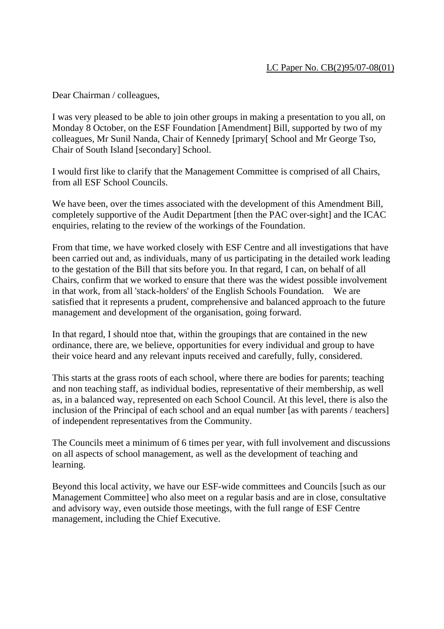Dear Chairman / colleagues,

I was very pleased to be able to join other groups in making a presentation to you all, on Monday 8 October, on the ESF Foundation [Amendment] Bill, supported by two of my colleagues, Mr Sunil Nanda, Chair of Kennedy [primary[ School and Mr George Tso, Chair of South Island [secondary] School.

I would first like to clarify that the Management Committee is comprised of all Chairs, from all ESF School Councils.

We have been, over the times associated with the development of this Amendment Bill, completely supportive of the Audit Department [then the PAC over-sight] and the ICAC enquiries, relating to the review of the workings of the Foundation.

From that time, we have worked closely with ESF Centre and all investigations that have been carried out and, as individuals, many of us participating in the detailed work leading to the gestation of the Bill that sits before you. In that regard, I can, on behalf of all Chairs, confirm that we worked to ensure that there was the widest possible involvement in that work, from all 'stack-holders' of the English Schools Foundation. We are satisfied that it represents a prudent, comprehensive and balanced approach to the future management and development of the organisation, going forward.

In that regard, I should ntoe that, within the groupings that are contained in the new ordinance, there are, we believe, opportunities for every individual and group to have their voice heard and any relevant inputs received and carefully, fully, considered.

This starts at the grass roots of each school, where there are bodies for parents; teaching and non teaching staff, as individual bodies, representative of their membership, as well as, in a balanced way, represented on each School Council. At this level, there is also the inclusion of the Principal of each school and an equal number [as with parents / teachers] of independent representatives from the Community.

The Councils meet a minimum of 6 times per year, with full involvement and discussions on all aspects of school management, as well as the development of teaching and learning.

Beyond this local activity, we have our ESF-wide committees and Councils [such as our Management Committee] who also meet on a regular basis and are in close, consultative and advisory way, even outside those meetings, with the full range of ESF Centre management, including the Chief Executive.